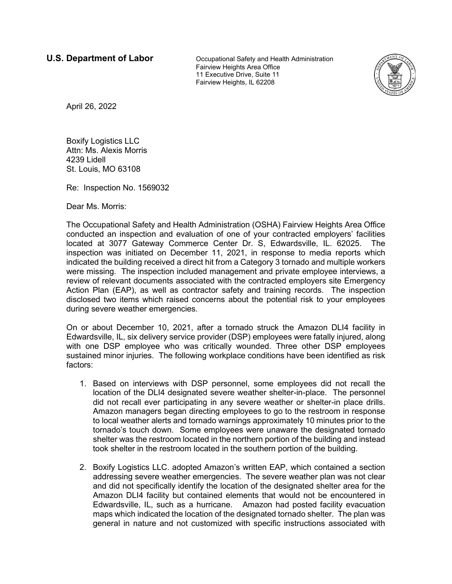**U.S. Department of Labor Cocupational Safety and Health Administration** Fairview Heights Area Office 11 Executive Drive, Suite 11 Fairview Heights, IL 62208



April 26, 2022

Boxify Logistics LLC Attn: Ms. Alexis Morris 4239 Lidell St. Louis, MO 63108

Re: Inspection No. 1569032

Dear Ms. Morris:

The Occupational Safety and Health Administration (OSHA) Fairview Heights Area Office conducted an inspection and evaluation of one of your contracted employers' facilities located at 3077 Gateway Commerce Center Dr. S, Edwardsville, IL. 62025. The inspection was initiated on December 11, 2021, in response to media reports which indicated the building received a direct hit from a Category 3 tornado and multiple workers were missing. The inspection included management and private employee interviews, a review of relevant documents associated with the contracted employers site Emergency Action Plan (EAP), as well as contractor safety and training records. The inspection disclosed two items which raised concerns about the potential risk to your employees during severe weather emergencies.

On or about December 10, 2021, after a tornado struck the Amazon DLI4 facility in Edwardsville, IL, six delivery service provider (DSP) employees were fatally injured, along with one DSP employee who was critically wounded. Three other DSP employees sustained minor injuries. The following workplace conditions have been identified as risk factors:

- 1. Based on interviews with DSP personnel, some employees did not recall the location of the DLI4 designated severe weather shelter-in-place. The personnel did not recall ever participating in any severe weather or shelter-in place drills. Amazon managers began directing employees to go to the restroom in response to local weather alerts and tornado warnings approximately 10 minutes prior to the tornado's touch down. Some employees were unaware the designated tornado shelter was the restroom located in the northern portion of the building and instead took shelter in the restroom located in the southern portion of the building.
- 2. Boxify Logistics LLC. adopted Amazon's written EAP, which contained a section addressing severe weather emergencies. The severe weather plan was not clear and did not specifically identify the location of the designated shelter area for the Amazon DLI4 facility but contained elements that would not be encountered in Edwardsville, IL, such as a hurricane. Amazon had posted facility evacuation maps which indicated the location of the designated tornado shelter. The plan was general in nature and not customized with specific instructions associated with